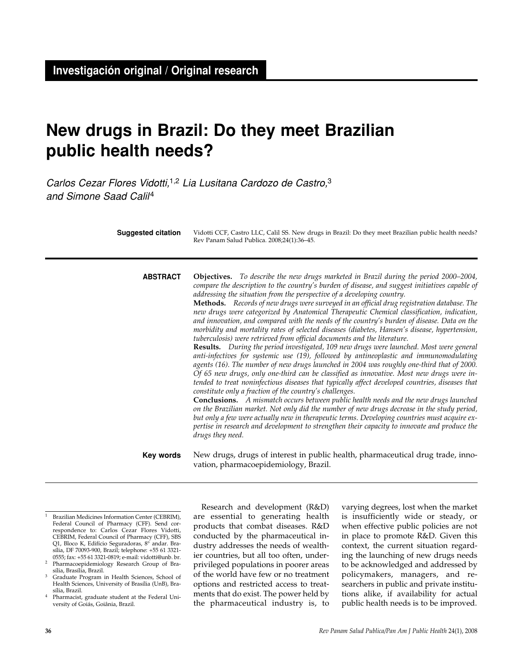# **New drugs in Brazil: Do they meet Brazilian public health needs?**

Carlos Cezar Flores Vidotti,<sup>1,2</sup> Lia Lusitana Cardozo de Castro,<sup>3</sup> and Simone Saad Calil4

| <b>Suggested citation</b> | Vidotti CCF, Castro LLC, Calil SS. New drugs in Brazil: Do they meet Brazilian public health needs?<br>Rev Panam Salud Publica. 2008;24(1):36-45.                                                                                                                                                                                                                                                                                                                                                                                                                                                                                                                                                                                                                                                                                                                                                                                                                                                                                                                                                                                                                                                                                                                                                                                                                                                                                                                                                                                                                                                                                                                                                              |
|---------------------------|----------------------------------------------------------------------------------------------------------------------------------------------------------------------------------------------------------------------------------------------------------------------------------------------------------------------------------------------------------------------------------------------------------------------------------------------------------------------------------------------------------------------------------------------------------------------------------------------------------------------------------------------------------------------------------------------------------------------------------------------------------------------------------------------------------------------------------------------------------------------------------------------------------------------------------------------------------------------------------------------------------------------------------------------------------------------------------------------------------------------------------------------------------------------------------------------------------------------------------------------------------------------------------------------------------------------------------------------------------------------------------------------------------------------------------------------------------------------------------------------------------------------------------------------------------------------------------------------------------------------------------------------------------------------------------------------------------------|
| <b>ABSTRACT</b>           | <b>Objectives.</b> To describe the new drugs marketed in Brazil during the period 2000–2004,<br>compare the description to the country's burden of disease, and suggest initiatives capable of<br>addressing the situation from the perspective of a developing country.<br>Methods. Records of new drugs were surveyed in an official drug registration database. The<br>new drugs were categorized by Anatomical Therapeutic Chemical classification, indication,<br>and innovation, and compared with the needs of the country's burden of disease. Data on the<br>morbidity and mortality rates of selected diseases (diabetes, Hansen's disease, hypertension,<br>tuberculosis) were retrieved from official documents and the literature.<br>Results. During the period investigated, 109 new drugs were launched. Most were general<br>anti-infectives for systemic use (19), followed by antineoplastic and immunomodulating<br>agents (16). The number of new drugs launched in 2004 was roughly one-third that of 2000.<br>Of 65 new drugs, only one-third can be classified as innovative. Most new drugs were in-<br>tended to treat noninfectious diseases that typically affect developed countries, diseases that<br>constitute only a fraction of the country's challenges.<br><b>Conclusions.</b> A mismatch occurs between public health needs and the new drugs launched<br>on the Brazilian market. Not only did the number of new drugs decrease in the study period,<br>but only a few were actually new in therapeutic terms. Developing countries must acquire ex-<br>pertise in research and development to strengthen their capacity to innovate and produce the<br>drugs they need. |
| Key words                 | New drugs, drugs of interest in public health, pharmaceutical drug trade, inno-<br>vation, pharmacoepidemiology, Brazil.                                                                                                                                                                                                                                                                                                                                                                                                                                                                                                                                                                                                                                                                                                                                                                                                                                                                                                                                                                                                                                                                                                                                                                                                                                                                                                                                                                                                                                                                                                                                                                                       |

- Brazilian Medicines Information Center (CEBRIM), Federal Council of Pharmacy (CFF). Send correspondence to: Carlos Cezar Flores Vidotti, CEBRIM, Federal Council of Pharmacy (CFF), SBS Q1, Bloco K, Edifício Seguradoras, 8° andar. Brasília, DF 70093-900, Brazil; telephone: +55 61 3321- 0555; fax: +55 61 3321-0819; e-mail: vidotti@unb. br.
- <sup>2</sup> Pharmacoepidemiology Research Group of Brasília, Brasília, Brazil.
- <sup>3</sup> Graduate Program in Health Sciences, School of Health Sciences, University of Brasília (UnB), Brasília, Brazil.
- <sup>4</sup> Pharmacist, graduate student at the Federal University of Goiás, Goiânia, Brazil.

Research and development (R&D) are essential to generating health products that combat diseases. R&D conducted by the pharmaceutical industry addresses the needs of wealthier countries, but all too often, underprivileged populations in poorer areas of the world have few or no treatment options and restricted access to treatments that do exist. The power held by the pharmaceutical industry is, to

varying degrees, lost when the market is insufficiently wide or steady, or when effective public policies are not in place to promote R&D. Given this context, the current situation regarding the launching of new drugs needs to be acknowledged and addressed by policymakers, managers, and researchers in public and private institutions alike, if availability for actual public health needs is to be improved.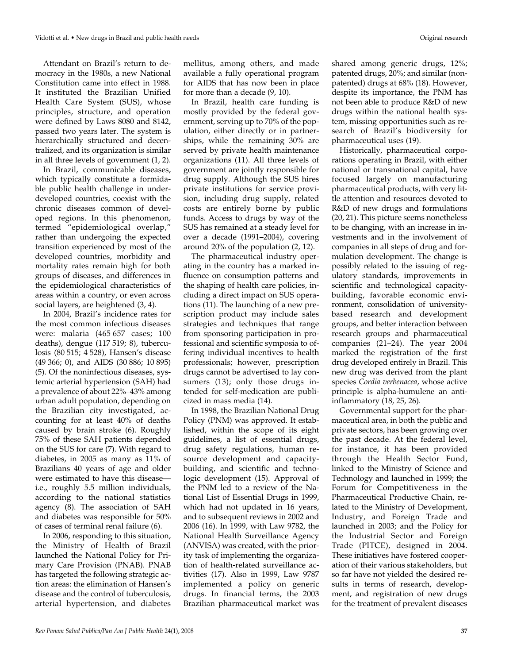Attendant on Brazil's return to democracy in the 1980s, a new National Constitution came into effect in 1988. It instituted the Brazilian Unified Health Care System (SUS), whose principles, structure, and operation were defined by Laws 8080 and 8142, passed two years later. The system is hierarchically structured and decentralized, and its organization is similar in all three levels of government (1, 2).

In Brazil, communicable diseases, which typically constitute a formidable public health challenge in underdeveloped countries, coexist with the chronic diseases common of developed regions. In this phenomenon, termed "epidemiological overlap," rather than undergoing the expected transition experienced by most of the developed countries, morbidity and mortality rates remain high for both groups of diseases, and differences in the epidemiological characteristics of areas within a country, or even across social layers, are heightened (3, 4).

In 2004, Brazil's incidence rates for the most common infectious diseases were: malaria (465 657 cases; 100 deaths), dengue (117 519; 8), tuberculosis (80 515; 4 528), Hansen's disease (49 366; 0), and AIDS (30 886; 10 895) (5). Of the noninfectious diseases, systemic arterial hypertension (SAH) had a prevalence of about 22%–43% among urban adult population, depending on the Brazilian city investigated, accounting for at least 40% of deaths caused by brain stroke (6). Roughly 75% of these SAH patients depended on the SUS for care (7). With regard to diabetes, in 2005 as many as 11% of Brazilians 40 years of age and older were estimated to have this disease i.e., roughly 5.5 million individuals, according to the national statistics agency (8). The association of SAH and diabetes was responsible for 50% of cases of terminal renal failure (6).

In 2006, responding to this situation, the Ministry of Health of Brazil launched the National Policy for Primary Care Provision (PNAB). PNAB has targeted the following strategic action areas: the elimination of Hansen's disease and the control of tuberculosis, arterial hypertension, and diabetes

mellitus, among others, and made available a fully operational program for AIDS that has now been in place for more than a decade (9, 10).

In Brazil, health care funding is mostly provided by the federal government, serving up to 70% of the population, either directly or in partnerships, while the remaining 30% are served by private health maintenance organizations (11). All three levels of government are jointly responsible for drug supply. Although the SUS hires private institutions for service provision, including drug supply, related costs are entirely borne by public funds. Access to drugs by way of the SUS has remained at a steady level for over a decade (1991–2004), covering around 20% of the population (2, 12).

The pharmaceutical industry operating in the country has a marked influence on consumption patterns and the shaping of health care policies, including a direct impact on SUS operations (11). The launching of a new prescription product may include sales strategies and techniques that range from sponsoring participation in professional and scientific symposia to offering individual incentives to health professionals; however, prescription drugs cannot be advertised to lay consumers (13); only those drugs intended for self-medication are publicized in mass media (14).

In 1998, the Brazilian National Drug Policy (PNM) was approved. It established, within the scope of its eight guidelines, a list of essential drugs, drug safety regulations, human resource development and capacitybuilding, and scientific and technologic development (15). Approval of the PNM led to a review of the National List of Essential Drugs in 1999, which had not updated in 16 years, and to subsequent reviews in 2002 and 2006 (16). In 1999, with Law 9782, the National Health Surveillance Agency (ANVISA) was created, with the priority task of implementing the organization of health-related surveillance activities (17). Also in 1999, Law 9787 implemented a policy on generic drugs. In financial terms, the 2003 Brazilian pharmaceutical market was

shared among generic drugs, 12%; patented drugs, 20%; and similar (nonpatented) drugs at 68% (18). However, despite its importance, the PNM has not been able to produce R&D of new drugs within the national health system, missing opportunities such as research of Brazil's biodiversity for pharmaceutical uses (19).

Historically, pharmaceutical corporations operating in Brazil, with either national or transnational capital, have focused largely on manufacturing pharmaceutical products, with very little attention and resources devoted to R&D of new drugs and formulations (20, 21). This picture seems nonetheless to be changing, with an increase in investments and in the involvement of companies in all steps of drug and formulation development. The change is possibly related to the issuing of regulatory standards, improvements in scientific and technological capacitybuilding, favorable economic environment, consolidation of universitybased research and development groups, and better interaction between research groups and pharmaceutical companies (21–24). The year 2004 marked the registration of the first drug developed entirely in Brazil. This new drug was derived from the plant species *Cordia verbenacea*, whose active principle is alpha-humulene an antiinflammatory (18, 25, 26).

Governmental support for the pharmaceutical area, in both the public and private sectors, has been growing over the past decade. At the federal level, for instance, it has been provided through the Health Sector Fund, linked to the Ministry of Science and Technology and launched in 1999; the Forum for Competitiveness in the Pharmaceutical Productive Chain, related to the Ministry of Development, Industry, and Foreign Trade and launched in 2003; and the Policy for the Industrial Sector and Foreign Trade (PITCE), designed in 2004. These initiatives have fostered cooperation of their various stakeholders, but so far have not yielded the desired results in terms of research, development, and registration of new drugs for the treatment of prevalent diseases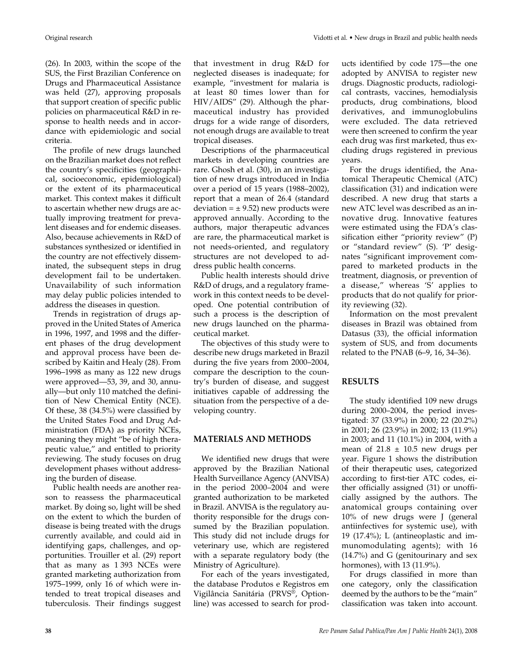(26). In 2003, within the scope of the SUS, the First Brazilian Conference on Drugs and Pharmaceutical Assistance was held (27), approving proposals that support creation of specific public policies on pharmaceutical R&D in response to health needs and in accordance with epidemiologic and social criteria.

The profile of new drugs launched on the Brazilian market does not reflect the country's specificities (geographical, socioeconomic, epidemiological) or the extent of its pharmaceutical market. This context makes it difficult to ascertain whether new drugs are actually improving treatment for prevalent diseases and for endemic diseases. Also, because achievements in R&D of substances synthesized or identified in the country are not effectively disseminated, the subsequent steps in drug development fail to be undertaken. Unavailability of such information may delay public policies intended to address the diseases in question.

Trends in registration of drugs approved in the United States of America in 1996, 1997, and 1998 and the different phases of the drug development and approval process have been described by Kaitin and Healy (28). From 1996–1998 as many as 122 new drugs were approved—53, 39, and 30, annually—but only 110 matched the definition of New Chemical Entity (NCE). Of these, 38 (34.5%) were classified by the United States Food and Drug Administration (FDA) as priority NCEs, meaning they might "be of high therapeutic value," and entitled to priority reviewing. The study focuses on drug development phases without addressing the burden of disease.

Public health needs are another reason to reassess the pharmaceutical market. By doing so, light will be shed on the extent to which the burden of disease is being treated with the drugs currently available, and could aid in identifying gaps, challenges, and opportunities. Trouiller et al. (29) report that as many as 1 393 NCEs were granted marketing authorization from 1975–1999, only 16 of which were intended to treat tropical diseases and tuberculosis. Their findings suggest

that investment in drug R&D for neglected diseases is inadequate; for example, "investment for malaria is at least 80 times lower than for HIV/AIDS" (29). Although the pharmaceutical industry has provided drugs for a wide range of disorders, not enough drugs are available to treat tropical diseases.

Descriptions of the pharmaceutical markets in developing countries are rare. Ghosh et al. (30), in an investigation of new drugs introduced in India over a period of 15 years (1988–2002), report that a mean of 26.4 (standard deviation =  $\pm$  9.52) new products were approved annually. According to the authors, major therapeutic advances are rare, the pharmaceutical market is not needs-oriented, and regulatory structures are not developed to address public health concerns.

Public health interests should drive R&D of drugs, and a regulatory framework in this context needs to be developed. One potential contribution of such a process is the description of new drugs launched on the pharmaceutical market.

The objectives of this study were to describe new drugs marketed in Brazil during the five years from 2000–2004, compare the description to the country's burden of disease, and suggest initiatives capable of addressing the situation from the perspective of a developing country.

## **MATERIALS AND METHODS**

We identified new drugs that were approved by the Brazilian National Health Surveillance Agency (ANVISA) in the period 2000–2004 and were granted authorization to be marketed in Brazil. ANVISA is the regulatory authority responsible for the drugs consumed by the Brazilian population. This study did not include drugs for veterinary use, which are registered with a separate regulatory body (the Ministry of Agriculture).

For each of the years investigated, the database Produtos e Registros em Vigilância Sanitária (PRVS®, Optionline) was accessed to search for products identified by code 175—the one adopted by ANVISA to register new drugs. Diagnostic products, radiological contrasts, vaccines, hemodialysis products, drug combinations, blood derivatives, and immunoglobulins were excluded. The data retrieved were then screened to confirm the year each drug was first marketed, thus excluding drugs registered in previous years.

For the drugs identified, the Anatomical Therapeutic Chemical (ATC) classification (31) and indication were described. A new drug that starts a new ATC level was described as an innovative drug. Innovative features were estimated using the FDA's classification either "priority review" (P) or "standard review" (S). 'P' designates "significant improvement compared to marketed products in the treatment, diagnosis, or prevention of a disease," whereas 'S' applies to products that do not qualify for priority reviewing (32).

Information on the most prevalent diseases in Brazil was obtained from Datasus (33), the official information system of SUS, and from documents related to the PNAB (6–9, 16, 34–36).

## **RESULTS**

The study identified 109 new drugs during 2000–2004, the period investigated: 37 (33.9%) in 2000; 22 (20.2%) in 2001; 26 (23.9%) in 2002; 13 (11.9%) in 2003; and 11 (10.1%) in 2004, with a mean of  $21.8 \pm 10.5$  new drugs per year. Figure 1 shows the distribution of their therapeutic uses, categorized according to first-tier ATC codes, either officially assigned (31) or unofficially assigned by the authors. The anatomical groups containing over 10% of new drugs were J (general antiinfectives for systemic use), with 19 (17.4%); L (antineoplastic and immunomodulating agents); with 16 (14.7%) and G (genitourinary and sex hormones), with 13 (11.9%).

For drugs classified in more than one category, only the classification deemed by the authors to be the "main" classification was taken into account.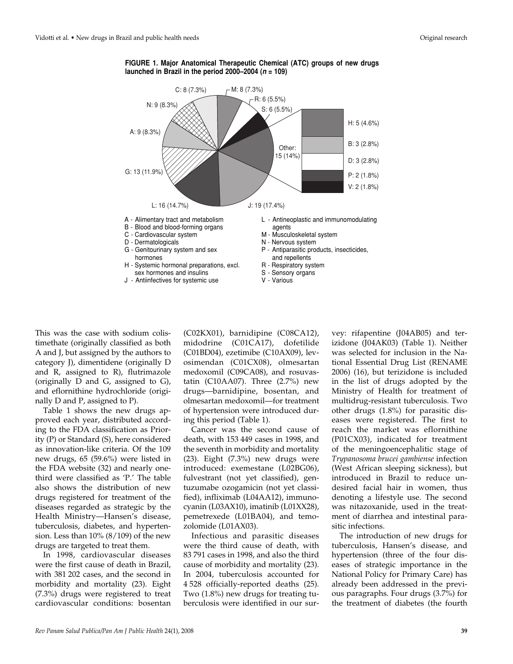

**FIGURE 1. Major Anatomical Therapeutic Chemical (ATC) groups of new drugs launched in Brazil in the period 2000–2004 (<sup>n</sup> = 109)**

This was the case with sodium colistimethate (originally classified as both A and J, but assigned by the authors to category J), dimentidene (originally D and R, assigned to R), flutrimazole (originally D and G, assigned to G), and eflornithine hydrochloride (originally D and P, assigned to P).

Table 1 shows the new drugs approved each year, distributed according to the FDA classification as Priority (P) or Standard (S), here considered as innovation-like criteria. Of the 109 new drugs, 65 (59.6%) were listed in the FDA website (32) and nearly onethird were classified as 'P.' The table also shows the distribution of new drugs registered for treatment of the diseases regarded as strategic by the Health Ministry—Hansen's disease, tuberculosis, diabetes, and hypertension. Less than 10% (8/109) of the new drugs are targeted to treat them.

In 1998, cardiovascular diseases were the first cause of death in Brazil, with 381 202 cases, and the second in morbidity and mortality (23). Eight (7.3%) drugs were registered to treat cardiovascular conditions: bosentan

(C02KX01), barnidipine (C08CA12), midodrine (C01CA17), dofetilide (C01BD04), ezetimibe (C10AX09), levosimendan (C01CX08), olmesartan medoxomil (C09CA08), and rosuvastatin (C10AA07). Three (2.7%) new drugs—barnidipine, bosentan, and olmesartan medoxomil—for treatment of hypertension were introduced during this period (Table 1).

Cancer was the second cause of death, with 153 449 cases in 1998, and the seventh in morbidity and mortality (23). Eight (7.3%) new drugs were introduced: exemestane (L02BG06), fulvestrant (not yet classified), gentuzumabe ozogamicin (not yet classified), infliximab (L04AA12), immunocyanin (L03AX10), imatinib (L01XX28), pemetrexede (L01BA04), and temozolomide (L01AX03).

Infectious and parasitic diseases were the third cause of death, with 83 791 cases in 1998, and also the third cause of morbidity and mortality (23). In 2004, tuberculosis accounted for 4 528 officially-reported deaths (25). Two (1.8%) new drugs for treating tuberculosis were identified in our survey: rifapentine (J04AB05) and terizidone (J04AK03) (Table 1). Neither was selected for inclusion in the National Essential Drug List (RENAME 2006) (16), but terizidone is included in the list of drugs adopted by the Ministry of Health for treatment of multidrug-resistant tuberculosis. Two other drugs (1.8%) for parasitic diseases were registered. The first to reach the market was eflornithine (P01CX03), indicated for treatment of the meningoencephalitic stage of *Trypanosoma brucei gambiense* infection (West African sleeping sickness), but introduced in Brazil to reduce undesired facial hair in women, thus denoting a lifestyle use. The second was nitazoxanide, used in the treatment of diarrhea and intestinal parasitic infections.

The introduction of new drugs for tuberculosis, Hansen's disease, and hypertension (three of the four diseases of strategic importance in the National Policy for Primary Care) has already been addressed in the previous paragraphs. Four drugs (3.7%) for the treatment of diabetes (the fourth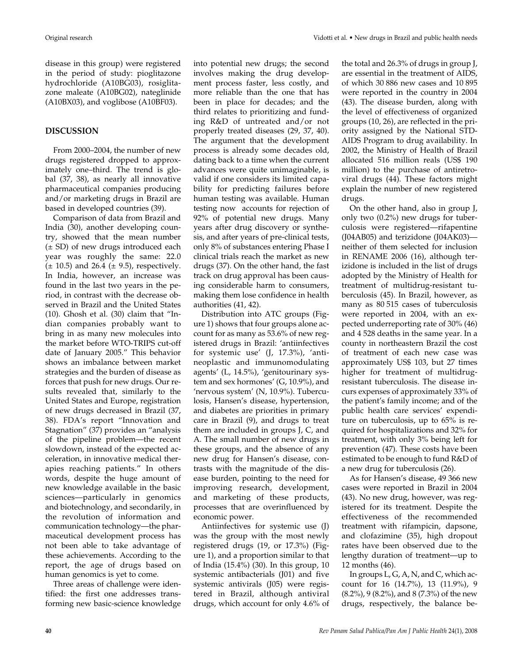disease in this group) were registered in the period of study: pioglitazone hydrochloride (A10BG03), rosiglitazone maleate (A10BG02), nateglinide (A10BX03), and voglibose (A10BF03).

## **DISCUSSION**

From 2000–2004, the number of new drugs registered dropped to approximately one–third. The trend is global (37, 38), as nearly all innovative pharmaceutical companies producing and/or marketing drugs in Brazil are based in developed countries (39).

Comparison of data from Brazil and India (30), another developing country, showed that the mean number (± SD) of new drugs introduced each year was roughly the same: 22.0  $(\pm 10.5)$  and 26.4  $(\pm 9.5)$ , respectively. In India, however, an increase was found in the last two years in the period, in contrast with the decrease observed in Brazil and the United States (10). Ghosh et al. (30) claim that "Indian companies probably want to bring in as many new molecules into the market before WTO-TRIPS cut-off date of January 2005." This behavior shows an imbalance between market strategies and the burden of disease as forces that push for new drugs. Our results revealed that, similarly to the United States and Europe, registration of new drugs decreased in Brazil (37, 38). FDA's report "Innovation and Stagnation" (37) provides an "analysis of the pipeline problem—the recent slowdown, instead of the expected acceleration, in innovative medical therapies reaching patients." In others words, despite the huge amount of new knowledge available in the basic sciences—particularly in genomics and biotechnology, and secondarily, in the revolution of information and communication technology—the pharmaceutical development process has not been able to take advantage of these achievements. According to the report, the age of drugs based on human genomics is yet to come.

Three areas of challenge were identified: the first one addresses transforming new basic-science knowledge into potential new drugs; the second involves making the drug development process faster, less costly, and more reliable than the one that has been in place for decades; and the third relates to prioritizing and funding R&D of untreated and/or not properly treated diseases (29, 37, 40). The argument that the development process is already some decades old, dating back to a time when the current advances were quite unimaginable, is valid if one considers its limited capability for predicting failures before human testing was available. Human testing now accounts for rejection of 92% of potential new drugs. Many years after drug discovery or synthesis, and after years of pre-clinical tests, only 8% of substances entering Phase I clinical trials reach the market as new drugs (37). On the other hand, the fast track on drug approval has been causing considerable harm to consumers, making them lose confidence in health authorities (41, 42).

Distribution into ATC groups (Figure 1) shows that four groups alone account for as many as 53.6% of new registered drugs in Brazil: 'antiinfectives for systemic use' (J, 17.3%), 'antineoplastic and immunomodulating agents' (L, 14.5%), 'genitourinary system and sex hormones' (G, 10.9%), and 'nervous system' (N, 10.9%). Tuberculosis, Hansen's disease, hypertension, and diabetes are priorities in primary care in Brazil (9), and drugs to treat them are included in groups J, C, and A. The small number of new drugs in these groups, and the absence of any new drug for Hansen's disease, contrasts with the magnitude of the disease burden, pointing to the need for improving research, development, and marketing of these products, processes that are overinfluenced by economic power.

Antiinfectives for systemic use (J) was the group with the most newly registered drugs (19, or 17.3%) (Figure 1), and a proportion similar to that of India (15.4%) (30). In this group, 10 systemic antibacterials (J01) and five systemic antivirals (J05) were registered in Brazil, although antiviral drugs, which account for only 4.6% of

the total and 26.3% of drugs in group J, are essential in the treatment of AIDS, of which 30 886 new cases and 10 895 were reported in the country in 2004 (43). The disease burden, along with the level of effectiveness of organized groups (10, 26), are reflected in the priority assigned by the National STD-AIDS Program to drug availability. In 2002, the Ministry of Health of Brazil allocated 516 million reals (US\$ 190 million) to the purchase of antiretroviral drugs (44). These factors might explain the number of new registered drugs.

On the other hand, also in group J, only two (0.2%) new drugs for tuberculosis were registered—rifapentine (J04AB05) and terizidone (J04AK03) neither of them selected for inclusion in RENAME 2006 (16), although terizidone is included in the list of drugs adopted by the Ministry of Health for treatment of multidrug-resistant tuberculosis (45). In Brazil, however, as many as 80 515 cases of tuberculosis were reported in 2004, with an expected underreporting rate of 30% (46) and 4 528 deaths in the same year. In a county in northeastern Brazil the cost of treatment of each new case was approximately US\$ 103, but 27 times higher for treatment of multidrugresistant tuberculosis. The disease incurs expenses of approximately 33% of the patient's family income; and of the public health care services' expenditure on tuberculosis, up to 65% is required for hospitalizations and 32% for treatment, with only 3% being left for prevention (47). These costs have been estimated to be enough to fund R&D of a new drug for tuberculosis (26).

As for Hansen's disease, 49 366 new cases were reported in Brazil in 2004 (43). No new drug, however, was registered for its treatment. Despite the effectiveness of the recommended treatment with rifampicin, dapsone, and clofazimine (35), high dropout rates have been observed due to the lengthy duration of treatment—up to 12 months (46).

In groups L, G, A, N, and C, which account for 16 (14.7%), 13 (11.9%), 9 (8.2%), 9 (8.2%), and 8 (7.3%) of the new drugs, respectively, the balance be-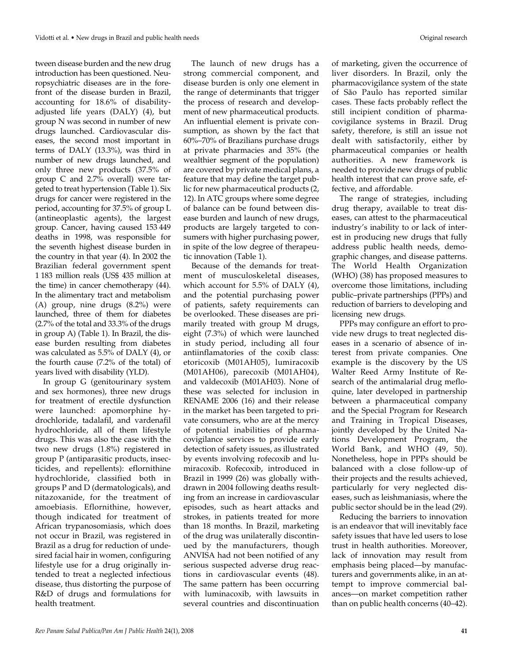tween disease burden and the new drug introduction has been questioned. Neuropsychiatric diseases are in the forefront of the disease burden in Brazil, accounting for 18.6% of disabilityadjusted life years (DALY) (4), but group N was second in number of new drugs launched. Cardiovascular diseases, the second most important in terms of DALY (13.3%), was third in number of new drugs launched, and only three new products (37.5% of group C and 2.7% overall) were targeted to treat hypertension (Table 1). Six drugs for cancer were registered in the period, accounting for 37.5% of group L (antineoplastic agents), the largest group. Cancer, having caused 153 449 deaths in 1998, was responsible for the seventh highest disease burden in the country in that year (4). In 2002 the Brazilian federal government spent 1 183 million reals (US\$ 435 million at the time) in cancer chemotherapy (44). In the alimentary tract and metabolism (A) group, nine drugs (8.2%) were launched, three of them for diabetes (2.7% of the total and 33.3% of the drugs in group A) (Table 1). In Brazil, the disease burden resulting from diabetes was calculated as 5.5% of DALY (4), or the fourth cause (7.2% of the total) of years lived with disability (YLD).

In group G (genitourinary system and sex hormones), three new drugs for treatment of erectile dysfunction were launched: apomorphine hydrochloride, tadalafil, and vardenafil hydrochloride, all of them lifestyle drugs. This was also the case with the two new drugs (1.8%) registered in group P (antiparasitic products, insecticides, and repellents): eflornithine hydrochloride, classified both in groups P and D (dermatologicals), and nitazoxanide, for the treatment of amoebiasis. Eflornithine, however, though indicated for treatment of African trypanosomiasis, which does not occur in Brazil, was registered in Brazil as a drug for reduction of undesired facial hair in women, configuring lifestyle use for a drug originally intended to treat a neglected infectious disease, thus distorting the purpose of R&D of drugs and formulations for health treatment.

The launch of new drugs has a strong commercial component, and disease burden is only one element in the range of determinants that trigger the process of research and development of new pharmaceutical products. An influential element is private consumption, as shown by the fact that 60%–70% of Brazilians purchase drugs at private pharmacies and 35% (the wealthier segment of the population) are covered by private medical plans, a feature that may define the target public for new pharmaceutical products (2, 12). In ATC groups where some degree of balance can be found between disease burden and launch of new drugs, products are largely targeted to consumers with higher purchasing power, in spite of the low degree of therapeutic innovation (Table 1).

Because of the demands for treatment of musculoskeletal diseases, which account for 5.5% of DALY (4), and the potential purchasing power of patients, safety requirements can be overlooked. These diseases are primarily treated with group M drugs, eight (7.3%) of which were launched in study period, including all four antiinflamatories of the coxib class: etoricoxib (M01AH05), lumiracoxib (M01AH06), parecoxib (M01AH04), and valdecoxib (M01AH03). None of these was selected for inclusion in RENAME 2006 (16) and their release in the market has been targeted to private consumers, who are at the mercy of potential inabilities of pharmacovigilance services to provide early detection of safety issues, as illustrated by events involving rofecoxib and lumiracoxib. Rofecoxib, introduced in Brazil in 1999 (26) was globally withdrawn in 2004 following deaths resulting from an increase in cardiovascular episodes, such as heart attacks and strokes, in patients treated for more than 18 months. In Brazil, marketing of the drug was unilaterally discontinued by the manufacturers, though ANVISA had not been notified of any serious suspected adverse drug reactions in cardiovascular events (48). The same pattern has been occurring with luminacoxib, with lawsuits in several countries and discontinuation

of marketing, given the occurrence of liver disorders. In Brazil, only the pharmacovigilance system of the state of São Paulo has reported similar cases. These facts probably reflect the still incipient condition of pharmacovigilance systems in Brazil. Drug safety, therefore, is still an issue not dealt with satisfactorily, either by pharmaceutical companies or health authorities. A new framework is needed to provide new drugs of public health interest that can prove safe, effective, and affordable.

The range of strategies, including drug therapy, available to treat diseases, can attest to the pharmaceutical industry's inability to or lack of interest in producing new drugs that fully address public health needs, demographic changes, and disease patterns. The World Health Organization (WHO) (38) has proposed measures to overcome those limitations, including public–private partnerships (PPPs) and reduction of barriers to developing and licensing new drugs.

PPPs may configure an effort to provide new drugs to treat neglected diseases in a scenario of absence of interest from private companies. One example is the discovery by the US Walter Reed Army Institute of Research of the antimalarial drug mefloquine, later developed in partnership between a pharmaceutical company and the Special Program for Research and Training in Tropical Diseases, jointly developed by the United Nations Development Program, the World Bank, and WHO (49, 50). Nonetheless, hope in PPPs should be balanced with a close follow-up of their projects and the results achieved, particularly for very neglected diseases, such as leishmaniasis, where the public sector should be in the lead (29).

Reducing the barriers to innovation is an endeavor that will inevitably face safety issues that have led users to lose trust in health authorities. Moreover, lack of innovation may result from emphasis being placed—by manufacturers and governments alike, in an attempt to improve commercial balances—on market competition rather than on public health concerns (40–42).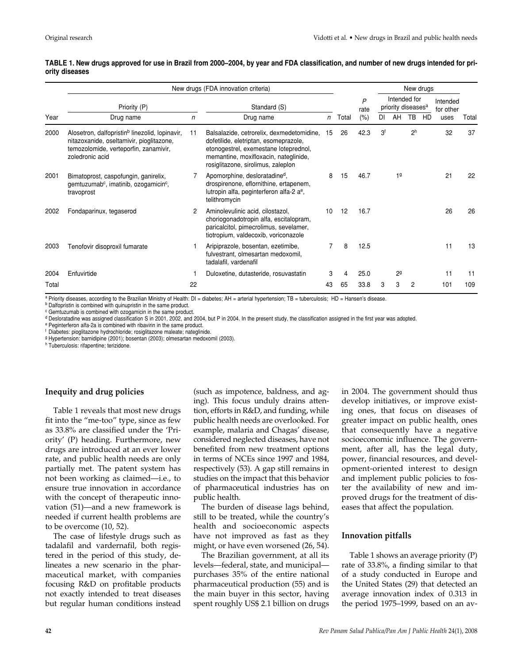|       | New drugs (FDA innovation criteria)                                                                                                                                |              |                                                                                                                                                                                                            |    |           |                                                | New drugs |                |                |                       |      |       |
|-------|--------------------------------------------------------------------------------------------------------------------------------------------------------------------|--------------|------------------------------------------------------------------------------------------------------------------------------------------------------------------------------------------------------------|----|-----------|------------------------------------------------|-----------|----------------|----------------|-----------------------|------|-------|
|       | Priority (P)                                                                                                                                                       | Standard (S) |                                                                                                                                                                                                            |    | P<br>rate | Intended for<br>priority diseases <sup>a</sup> |           |                |                | Intended<br>for other |      |       |
| Year  | Drug name                                                                                                                                                          | n            | Drug name                                                                                                                                                                                                  | n  | Total     | (% )                                           | DI        | AH             | TB             | <b>HD</b>             | uses | Total |
| 2000  | Alosetron, dalfopristin <sup>b</sup> linezolid, lopinavir,<br>nitazoxanide, oseltamivir, pioglitazone,<br>temozolomide, verteporfin, zanamivir,<br>zoledronic acid | 11           | Balsalazide, cetrorelix, dexmedetomidine,<br>dofetilide, eletriptan, esomeprazole,<br>etonogestrel, exemestane loteprednol,<br>memantine, moxifloxacin, nateglinide,<br>rosiglitazone, sirolimus, zaleplon | 15 | 26        | 42.3                                           | Зf        |                | 2 <sup>h</sup> |                       | 32   | 37    |
| 2001  | Bimatoprost, caspofungin, ganirelix,<br>gemtuzumab <sup>c</sup> , imatinib, ozogamicin <sup>c</sup> ,<br>travoprost                                                |              | Apomorphine, desloratadine <sup>d</sup> ,<br>drospirenone, eflornithine, ertapenem,<br>lutropin alfa, peginterferon alfa-2 a <sup>e</sup> ,<br>telithromycin                                               | 8  | 15        | 46.7                                           |           | 19             |                |                       | 21   | 22    |
| 2002  | Fondaparinux, tegaserod                                                                                                                                            | 2            | Aminolevulinic acid, cilostazol,<br>choriogonadotropin alfa, escitalopram,<br>paricalcitol, pimecrolimus, sevelamer,<br>tiotropium, valdecoxib, voriconazole                                               | 10 | 12        | 16.7                                           |           |                |                |                       | 26   | 26    |
| 2003  | Tenofovir disoproxil fumarate                                                                                                                                      |              | Aripiprazole, bosentan, ezetimibe,<br>fulvestrant, olmesartan medoxomil,<br>tadalafil, vardenafil                                                                                                          |    | 8         | 12.5                                           |           |                |                |                       | 11   | 13    |
| 2004  | Enfuvirtide                                                                                                                                                        |              | Duloxetine, dutasteride, rosuvastatin                                                                                                                                                                      | 3  | 4         | 25.0                                           |           | 2 <sup>9</sup> |                |                       | 11   | 11    |
| Total |                                                                                                                                                                    | 22           |                                                                                                                                                                                                            | 43 | 65        | 33.8                                           | 3         | 3              | $\overline{c}$ |                       | 101  | 109   |

#### **TABLE 1. New drugs approved for use in Brazil from 2000–2004, by year and FDA classification, and number of new drugs intended for priority diseases**

<sup>a</sup> Priority diseases, according to the Brazilian Ministry of Health: DI = diabetes; AH = arterial hypertension; TB = tuberculosis; HD = Hansen's disease.<br><sup>b</sup> Dalfopristin is combined with quinupristin in the same product

<sup>c</sup> Gemtuzumab is combined with ozogamicin in the same product.

d Desloratadine was assigned classification S in 2001, 2002, and 2004, but P in 2004. In the present study, the classification assigned in the first year was adopted.<br>e Peginterferon alfa-2a is combined with ribavirin in t

<sup>f</sup> Diabetes: pioglitazone hydrochloride; rosiglitazone maleate; nateglinide.

<sup>g</sup> Hypertension: barnidipine (2001); bosentan (2003); olmesartan medoxomil (2003).

<sup>h</sup> Tuberculosis: rifapentine; terizidone.

### **Inequity and drug policies**

Table 1 reveals that most new drugs fit into the "me-too" type, since as few as 33.8% are classified under the 'Priority' (P) heading. Furthermore, new drugs are introduced at an ever lower rate, and public health needs are only partially met. The patent system has not been working as claimed—i.e., to ensure true innovation in accordance with the concept of therapeutic innovation (51)—and a new framework is needed if current health problems are to be overcome (10, 52).

The case of lifestyle drugs such as tadalafil and vardernafil, both registered in the period of this study, delineates a new scenario in the pharmaceutical market, with companies focusing R&D on profitable products not exactly intended to treat diseases but regular human conditions instead

(such as impotence, baldness, and aging). This focus unduly drains attention, efforts in R&D, and funding, while public health needs are overlooked. For example, malaria and Chagas' disease, considered neglected diseases, have not benefited from new treatment options in terms of NCEs since 1997 and 1984, respectively (53). A gap still remains in studies on the impact that this behavior of pharmaceutical industries has on public health.

The burden of disease lags behind, still to be treated, while the country's health and socioeconomic aspects have not improved as fast as they might, or have even worsened (26, 54).

The Brazilian government, at all its levels—federal, state, and municipal purchases 35% of the entire national pharmaceutical production (55) and is the main buyer in this sector, having spent roughly US\$ 2.1 billion on drugs in 2004. The government should thus develop initiatives, or improve existing ones, that focus on diseases of greater impact on public health, ones that consequently have a negative socioeconomic influence. The government, after all, has the legal duty, power, financial resources, and development-oriented interest to design and implement public policies to foster the availability of new and improved drugs for the treatment of diseases that affect the population.

#### **Innovation pitfalls**

Table 1 shows an average priority (P) rate of 33.8%, a finding similar to that of a study conducted in Europe and the United States (29) that detected an average innovation index of 0.313 in the period 1975–1999, based on an av-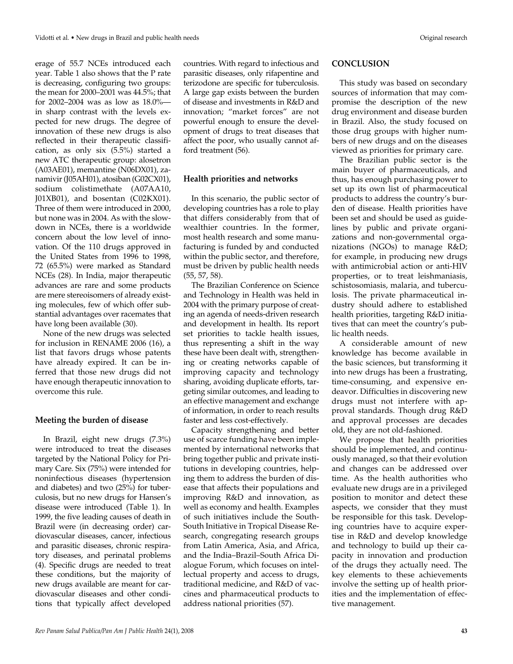erage of 55.7 NCEs introduced each year. Table 1 also shows that the P rate is decreasing, configuring two groups: the mean for 2000–2001 was 44.5%; that for 2002–2004 was as low as 18.0% in sharp contrast with the levels expected for new drugs. The degree of innovation of these new drugs is also reflected in their therapeutic classification, as only six (5.5%) started a new ATC therapeutic group: alosetron (A03AE01), memantine (N06DX01), zanamivir (J05AH01), atosiban (G02CX01), sodium colistimethate (A07AA10, J01XB01), and bosentan (C02KX01). Three of them were introduced in 2000, but none was in 2004. As with the slowdown in NCEs, there is a worldwide concern about the low level of innovation. Of the 110 drugs approved in the United States from 1996 to 1998, 72 (65.5%) were marked as Standard NCEs (28). In India, major therapeutic advances are rare and some products are mere stereoisomers of already existing molecules, few of which offer substantial advantages over racemates that have long been available (30).

None of the new drugs was selected for inclusion in RENAME 2006 (16), a list that favors drugs whose patents have already expired. It can be inferred that those new drugs did not have enough therapeutic innovation to overcome this rule.

#### **Meeting the burden of disease**

In Brazil, eight new drugs (7.3%) were introduced to treat the diseases targeted by the National Policy for Primary Care. Six (75%) were intended for noninfectious diseases (hypertension and diabetes) and two (25%) for tuberculosis, but no new drugs for Hansen's disease were introduced (Table 1). In 1999, the five leading causes of death in Brazil were (in decreasing order) cardiovascular diseases, cancer, infectious and parasitic diseases, chronic respiratory diseases, and perinatal problems (4). Specific drugs are needed to treat these conditions, but the majority of new drugs available are meant for cardiovascular diseases and other conditions that typically affect developed

countries. With regard to infectious and parasitic diseases, only rifapentine and terizodone are specific for tuberculosis. A large gap exists between the burden of disease and investments in R&D and innovation; "market forces" are not powerful enough to ensure the development of drugs to treat diseases that affect the poor, who usually cannot afford treatment (56).

#### **Health priorities and networks**

In this scenario, the public sector of developing countries has a role to play that differs considerably from that of wealthier countries. In the former, most health research and some manufacturing is funded by and conducted within the public sector, and therefore, must be driven by public health needs (55, 57, 58).

The Brazilian Conference on Science and Technology in Health was held in 2004 with the primary purpose of creating an agenda of needs-driven research and development in health. Its report set priorities to tackle health issues, thus representing a shift in the way these have been dealt with, strengthening or creating networks capable of improving capacity and technology sharing, avoiding duplicate efforts, targeting similar outcomes, and leading to an effective management and exchange of information, in order to reach results faster and less cost-effectively.

Capacity strengthening and better use of scarce funding have been implemented by international networks that bring together public and private institutions in developing countries, helping them to address the burden of disease that affects their populations and improving R&D and innovation, as well as economy and health. Examples of such initiatives include the South-South Initiative in Tropical Disease Research, congregating research groups from Latin America, Asia, and Africa, and the India–Brazil–South Africa Dialogue Forum, which focuses on intellectual property and access to drugs, traditional medicine, and R&D of vaccines and pharmaceutical products to address national priorities (57).

#### **CONCLUSION**

This study was based on secondary sources of information that may compromise the description of the new drug environment and disease burden in Brazil. Also, the study focused on those drug groups with higher numbers of new drugs and on the diseases viewed as priorities for primary care.

The Brazilian public sector is the main buyer of pharmaceuticals, and thus, has enough purchasing power to set up its own list of pharmaceutical products to address the country's burden of disease. Health priorities have been set and should be used as guidelines by public and private organizations and non-governmental organizations (NGOs) to manage R&D; for example, in producing new drugs with antimicrobial action or anti-HIV properties, or to treat leishmaniasis, schistosomiasis, malaria, and tuberculosis. The private pharmaceutical industry should adhere to established health priorities, targeting R&D initiatives that can meet the country's public health needs.

A considerable amount of new knowledge has become available in the basic sciences, but transforming it into new drugs has been a frustrating, time-consuming, and expensive endeavor. Difficulties in discovering new drugs must not interfere with approval standards. Though drug R&D and approval processes are decades old, they are not old-fashioned.

We propose that health priorities should be implemented, and continuously managed, so that their evolution and changes can be addressed over time. As the health authorities who evaluate new drugs are in a privileged position to monitor and detect these aspects, we consider that they must be responsible for this task. Developing countries have to acquire expertise in R&D and develop knowledge and technology to build up their capacity in innovation and production of the drugs they actually need. The key elements to these achievements involve the setting up of health priorities and the implementation of effective management.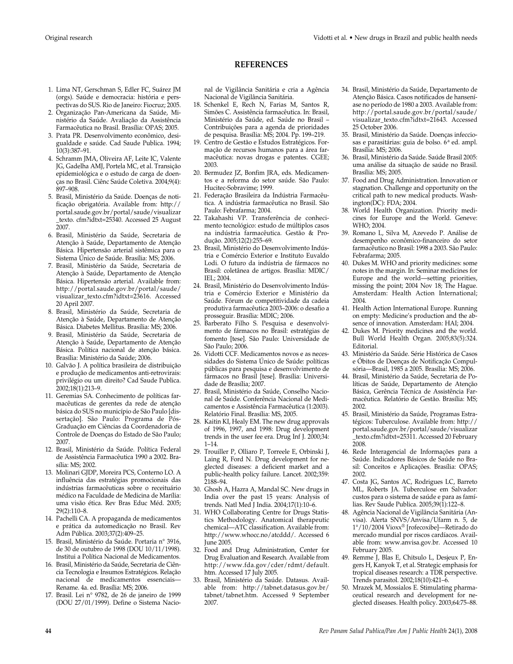### **REFERENCES**

1. Lima NT, Gerschman S, Edler FC, Suárez JM (orgs). Saúde e democracia: história e perspectivas do SUS. Rio de Janeiro: Fiocruz; 2005.

- 2. Organização Pan-Americana da Saúde, Ministério da Saúde. Avaliação da Assistência Farmacêutica no Brasil. Brasília: OPAS; 2005.
- 3. Prata PR. Desenvolvimento econômico, desigualdade e saúde. Cad Saude Publica. 1994; 10(3):387–91.
- 4. Schramm JMA, Oliveira AF, Leite IC, Valente JG, Gadelha AMJ, Portela MC, et al. Transição epidemiológica e o estudo de carga de doenças no Brasil. Ciênc Saúde Coletiva. 2004;9(4): 897–908.
- 5. Brasil, Ministério da Saúde. Doenças de notificação obrigatória. Available from: http:// portal.saude.gov.br/portal/saude/visualizar \_texto. cfm?idtxt=25340. Accessed 25 August 2007.
- 6. Brasil, Ministério da Saúde, Secretaria de Atenção à Saúde, Departamento de Atenção Básica. Hipertensão arterial sistêmica para o Sistema Único de Saúde. Brasília: MS; 2006.
- 7. Brasil, Ministério da Saúde, Secretaria de Atenção à Saúde, Departamento de Atenção Básica. Hipertensão arterial. Available from: http://portal.saude.gov.br/portal/saude/ visualizar\_texto.cfm?idtxt=23616. Accessed 20 April 2007.
- 8. Brasil, Ministério da Saúde, Secretaria de Atenção à Saúde, Departamento de Atenção Básica. Diabetes Mellitus. Brasília: MS; 2006.
- 9. Brasil, Ministério da Saúde, Secretaria de Atenção à Saúde, Departamento de Atenção Básica. Política nacional de atenção básica. Brasília: Ministério da Saúde; 2006.
- 10. Galvão J. A política brasileira de distribuição e produção de medicamentos anti-retrovirais: privilégio ou um direito? Cad Saude Publica. 2002;18(1):213–9.
- 11. Geremias SA. Conhecimento de políticas farmacêuticas de gerentes da rede de atenção básica do SUS no município de São Paulo [dissertação]. São Paulo: Programa de Pós-Graduação em Ciências da Coordenadoria de Controle de Doenças do Estado de São Paulo; 2007.
- 12. Brasil, Ministério da Saúde. Política Federal de Assistência Farmacêutica 1990 a 2002. Brasília: MS; 2002.
- 13. Molinari GJDP, Moreira PCS, Conterno LO. A influência das estratégias promocionais das indústrias farmacêuticas sobre o receituário médico na Faculdade de Medicina de Marília: uma visão ética. Rev Bras Educ Méd. 2005; 29(2):110–8.
- 14. Pachelli CA. A propaganda de medicamentos e prática da automedicação no Brasil. Rev Adm Pública. 2003;37(2):409–25.
- 15. Brasil, Ministério da Saúde. Portaria n° 3916, de 30 de outubro de 1998 (DOU 10/11/1998). Institui a Política Nacional de Medicamentos.
- 16. Brasil, Ministério da Saúde, Secretaria de Ciência Tecnologia e Insumos Estratégicos. Relação nacional de medicamentos essenciais— Rename. 4a. ed. Brasília: MS; 2006.
- 17. Brasil. Lei n° 9782, de 26 de janeiro de 1999 (DOU 27/01/1999). Define o Sistema Nacio-

nal de Vigilância Sanitária e cria a Agência Nacional de Vigilância Sanitária.

- 18. Schenkel E, Rech N, Farias M, Santos R, Simões C. Assistência farmacêutica. In: Brasil, Ministério da Saúde, ed. Saúde no Brasil – Contribuições para a agenda de prioridades de pesquisa. Brasília: MS; 2004. Pp. 199–219.
- 19. Centro de Gestão e Estudos Estratégicos. Formação de recursos humanos para a área farmacêutica: novas drogas e patentes. CGEE; 2003.
- 20. Bermudez JZ, Bonfim JRA, eds. Medicamentos e a reforma do setor saúde. São Paulo: Hucitec-Sobravime; 1999.
- 21. Federação Brasileira da Indústria Farmacêutica. A indústria farmacêutica no Brasil. São Paulo: Febrafarma; 2004.
- 22. Takahashi VP. Transferência de conhecimento tecnológico: estudo de múltiplos casos na indústria farmacêutica. Gestão & Produção. 2005;12(2):255–69.
- 23. Brasil, Ministério do Desenvolvimento Indústria e Comércio Exterior e Instituto Euvaldo Lodi. O futuro da indústria de fármacos no Brasil: coletânea de artigos. Brasília: MDIC/ IEL; 2004.
- 24. Brasil, Ministério do Desenvolvimento Indústria e Comércio Exterior e Ministério da Saúde. Fórum de competitividade da cadeia produtiva farmacêutica 2003–2006: o desafio a prosseguir. Brasília: MDIC; 2006.
- 25. Barberato Filho S. Pesquisa e desenvolvimento de fármacos no Brasil: estratégias de fomento [tese]. São Paulo: Universidade de São Paulo; 2006.
- 26. Vidotti CCF. Medicamentos novos e as necessidades do Sistema Único de Saúde: políticas públicas para pesquisa e desenvolvimento de fármacos no Brasil [tese]. Brasília: Universidade de Brasília; 2007.
- 27. Brasil, Ministério da Saúde, Conselho Nacional de Saúde. Conferência Nacional de Medicamentos e Assistência Farmacêutica (1:2003). Relatório Final. Brasília: MS, 2005.
- 28. Kaitin KI, Healy EM. The new drug approvals of 1996, 1997, and 1998: Drug development trends in the user fee era. Drug Inf J. 2000;34: 1–14.
- 29. Trouiller P, Olliaro P, Torreele E, Orbinski J, Laing R, Ford N. Drug development for neglected diseases: a deficient market and a public-health policy failure. Lancet. 2002;359: 2188–94.
- 30. Ghosh A, Hazra A, Mandal SC. New drugs in India over the past 15 years: Analysis of trends. Natl Med J India. 2004;17(1):10–6.
- 31. WHO Collaborating Centre for Drugs Statistics Methodology. Anatomical therapeutic chemical—ATC classification. Available from: http://www.whocc.no/atcddd/. Accessed 6 June 2005.
- 32. Food and Drug Administration, Center for Drug Evaluation and Research. Available from http://www.fda.gov/cder/rdmt/default. htm. Accessed 17 July 2005.
- 33. Brasil, Ministério da Saúde. Datasus. Available from: http://tabnet.datasus.gov.br/ tabnet/tabnet.htm. Accessed 9 September 2007.
- 34. Brasil, Ministério da Saúde, Departamento de Atenção Básica. Casos notificados de hanseníase no período de 1980 a 2003. Available from: http://portal.saude.gov.br/portal/saude/ visualizar\_texto.cfm?idtxt=21643. Accessed 25 October 2006.
- 35. Brasil, Ministério da Saúde. Doenças infecciosas e parasitárias: guia de bolso. 6<sup>ª</sup> ed. ampl. Brasília: MS; 2006.
- 36. Brasil, Ministério da Saúde. Saúde Brasil 2005: uma análise da situação de saúde no Brasil. Brasília: MS; 2005.
- 37. Food and Drug Administration. Innovation or stagnation. Challenge and opportunity on the critical path to new medical products. Washington(DC): FDA; 2004.
- 38. World Health Organization. Priority medicines for Europe and the World. Geneve: WHO; 2004.
- 39. Romano L, Silva M, Azevedo P. Análise de desempenho econômico-financeiro do setor farmacêutico no Brasil: 1998 a 2003. São Paulo: Febrafarma; 2005.
- 40. Dukes M. WHO and priority medicines: some notes in the margin. In: Seminar medicines for Europe and the world—setting priorities, missing the point; 2004 Nov 18; The Hague. Amsterdam: Health Action International; 2004.
- 41. Health Action International Europe. Running on empty: Medicine's production and the absence of innovation. Amsterdam: HAI; 2004.
- 42. Dukes M. Priority medicines and the world. Bull World Health Organ. 2005;83(5):324. Editorial.
- 43. Ministério da Saúde. Série Histórica de Casos e Óbitos de Doenças de Notificação Compulsória—Brasil, 1985 a 2005. Brasília: MS; 2006.
- 44. Brasil, Ministério da Saúde, Secretaria de Políticas de Saúde, Departamento de Atenção Básica, Gerência Técnica de Assistência Farmacêutica. Relatório de Gestão. Brasília: MS; 2002.
- 45. Brasil, Ministério da Saúde, Programas Estratégicos: Tuberculose. Available from: http:// portal.saude.gov.br/portal/saude/visualizar \_texto.cfm?idtxt=25311. Accessed 20 February 2008.
- 46. Rede Interagencial de Informações para a Saúde. Indicadores Básicos de Saúde no Brasil: Conceitos e Aplicações. Brasília: OPAS; 2002.
- 47. Costa JG, Santos AC, Rodrigues LC, Barreto ML, Roberts JA. Tuberculose em Salvador: custos para o sistema de saúde e para as famílias. Rev Saude Publica. 2005;39(1):122–8.
- 48. Agência Nacional de Vigilância Sanitária (Anvisa). Alerta SNVS/Anvisa/Ufarm n. 5, de 1°/10/2004 Vioxx® [rofecoxibe]—Retirado do mercado mundial por riscos cardíacos. Available from: www.anvisa.gov.br. Accessed 10 February 2005.
- 49. Remme J, Blas E, Chitsulo L, Desjeux P, Engers H, Kanyok T, et al. Strategic emphasis for tropical diseases research: a TDR perspective. Trends parasitol. 2002;18(10):421–6.
- 50. Mrazek M, Mossialos E. Stimulating pharmaceutical research and development for neglected diseases. Health policy. 2003;64:75–88.